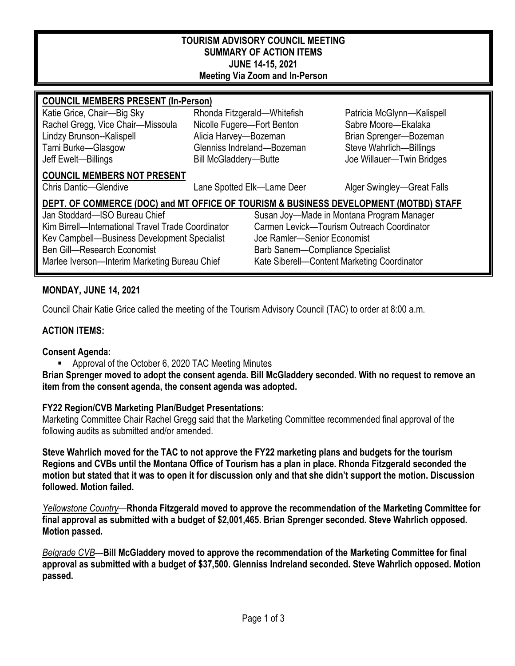#### **TOURISM ADVISORY COUNCIL MEETING SUMMARY OF ACTION ITEMS JUNE 14-15, 2021 Meeting Via Zoom and In-Person**

#### **COUNCIL MEMBERS PRESENT (In-Person)**

Katie Grice, Chair—Big Sky Rhonda Fitzgerald—Whitefish Patricia McGlynn—Kalispell Rachel Gregg, Vice Chair—Missoula Nicolle Fugere—Fort Benton Sabre Moore—Ekalaka Lindzy Brunson--Kalispell **Alicia Harvey—Bozeman** Brian Sprenger—Bozeman Tami Burke—Glasgow Glenniss Indreland—Bozeman Steve Wahrlich—Billings Jeff Ewelt—Billings Bill McGladdery—Butte Joe Willauer—Twin Bridges

#### **COUNCIL MEMBERS NOT PRESENT**

Chris Dantic—Glendive Lane Spotted Elk—Lame Deer Alger Swingley—Great Falls

# **DEPT. OF COMMERCE (DOC) and MT OFFICE OF TOURISM & BUSINESS DEVELOPMENT (MOTBD) STAFF**

Kim Birrell—International Travel Trade Coordinator Carmen Levick—Tourism Outreach Coordinator<br>Key Campbell—Business Development Specialist Joe Ramler—Senior Fconomist Kev Campbell—Business Development Specialist Ben Gill—Research Economist Barb Sanem—Compliance Specialist Marlee Iverson—Interim Marketing Bureau Chief Kate Siberell—Content Marketing Coordinator

Jan Stoddard—ISO Bureau Chief Susan Joy—Made in Montana Program Manager

# **MONDAY, JUNE 14, 2021**

Council Chair Katie Grice called the meeting of the Tourism Advisory Council (TAC) to order at 8:00 a.m.

## **ACTION ITEMS:**

#### **Consent Agenda:**

Approval of the October 6, 2020 TAC Meeting Minutes

**Brian Sprenger moved to adopt the consent agenda. Bill McGladdery seconded. With no request to remove an item from the consent agenda, the consent agenda was adopted.**

# **FY22 Region/CVB Marketing Plan/Budget Presentations:**

Marketing Committee Chair Rachel Gregg said that the Marketing Committee recommended final approval of the following audits as submitted and/or amended.

**Steve Wahrlich moved for the TAC to not approve the FY22 marketing plans and budgets for the tourism Regions and CVBs until the Montana Office of Tourism has a plan in place. Rhonda Fitzgerald seconded the motion but stated that it was to open it for discussion only and that she didn't support the motion. Discussion followed. Motion failed.** 

*Yellowstone Country*—**Rhonda Fitzgerald moved to approve the recommendation of the Marketing Committee for final approval as submitted with a budget of \$2,001,465. Brian Sprenger seconded. Steve Wahrlich opposed. Motion passed.** 

*Belgrade CVB*—**Bill McGladdery moved to approve the recommendation of the Marketing Committee for final approval as submitted with a budget of \$37,500. Glenniss Indreland seconded. Steve Wahrlich opposed. Motion passed.**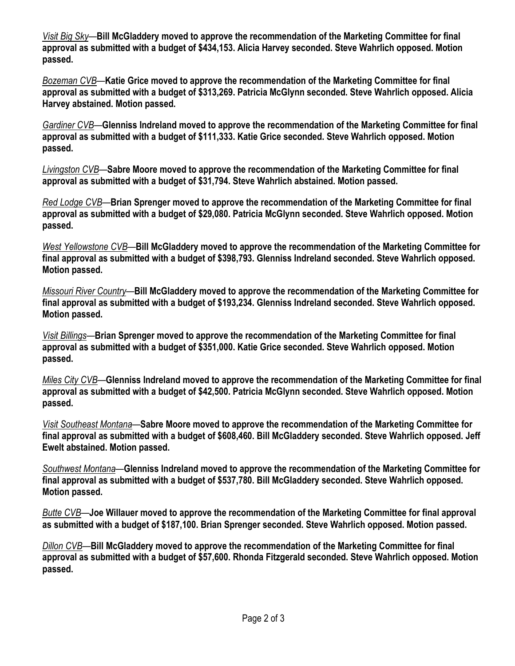*Visit Big Sky*—**Bill McGladdery moved to approve the recommendation of the Marketing Committee for final approval as submitted with a budget of \$434,153. Alicia Harvey seconded. Steve Wahrlich opposed. Motion passed.** 

*Bozeman CVB*—**Katie Grice moved to approve the recommendation of the Marketing Committee for final approval as submitted with a budget of \$313,269. Patricia McGlynn seconded. Steve Wahrlich opposed. Alicia Harvey abstained. Motion passed.** 

*Gardiner CVB*—**Glenniss Indreland moved to approve the recommendation of the Marketing Committee for final approval as submitted with a budget of \$111,333. Katie Grice seconded. Steve Wahrlich opposed. Motion passed.** 

*Livingston CVB*—**Sabre Moore moved to approve the recommendation of the Marketing Committee for final approval as submitted with a budget of \$31,794. Steve Wahrlich abstained. Motion passed.** 

*Red Lodge CVB*—**Brian Sprenger moved to approve the recommendation of the Marketing Committee for final approval as submitted with a budget of \$29,080. Patricia McGlynn seconded. Steve Wahrlich opposed. Motion passed.** 

*West Yellowstone CVB*—**Bill McGladdery moved to approve the recommendation of the Marketing Committee for final approval as submitted with a budget of \$398,793. Glenniss Indreland seconded. Steve Wahrlich opposed. Motion passed.** 

*Missouri River Country*—**Bill McGladdery moved to approve the recommendation of the Marketing Committee for final approval as submitted with a budget of \$193,234. Glenniss Indreland seconded. Steve Wahrlich opposed. Motion passed.** 

*Visit Billings*—**Brian Sprenger moved to approve the recommendation of the Marketing Committee for final approval as submitted with a budget of \$351,000. Katie Grice seconded. Steve Wahrlich opposed. Motion passed.** 

*Miles City CVB*—**Glenniss Indreland moved to approve the recommendation of the Marketing Committee for final approval as submitted with a budget of \$42,500. Patricia McGlynn seconded. Steve Wahrlich opposed. Motion passed.** 

*Visit Southeast Montana*—**Sabre Moore moved to approve the recommendation of the Marketing Committee for final approval as submitted with a budget of \$608,460. Bill McGladdery seconded. Steve Wahrlich opposed. Jeff Ewelt abstained. Motion passed.** 

*Southwest Montana*—**Glenniss Indreland moved to approve the recommendation of the Marketing Committee for final approval as submitted with a budget of \$537,780. Bill McGladdery seconded. Steve Wahrlich opposed. Motion passed.** 

*Butte CVB*—**Joe Willauer moved to approve the recommendation of the Marketing Committee for final approval as submitted with a budget of \$187,100. Brian Sprenger seconded. Steve Wahrlich opposed. Motion passed.** 

*Dillon CVB*—**Bill McGladdery moved to approve the recommendation of the Marketing Committee for final approval as submitted with a budget of \$57,600. Rhonda Fitzgerald seconded. Steve Wahrlich opposed. Motion passed.**